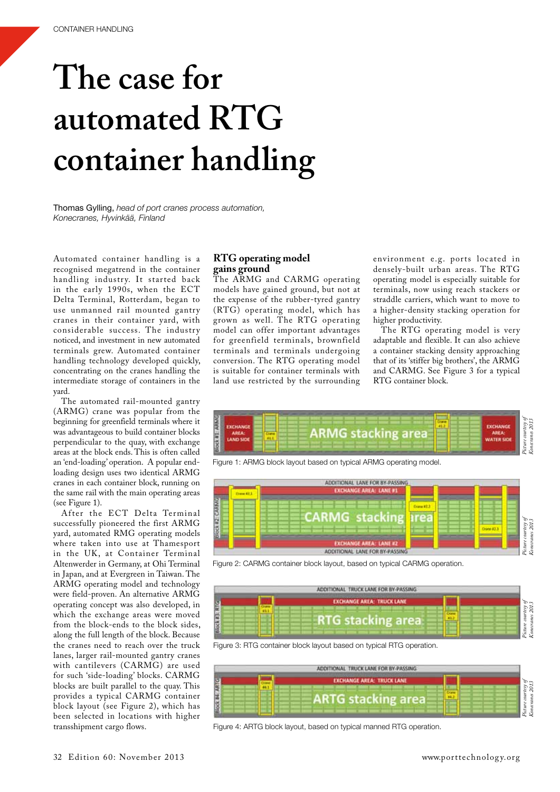# **The case for automated RTG container handling**

Thomas Gylling, *head of port cranes process automation, Konecranes, Hyvinkää, Finland*

Automated container handling is a recognised megatrend in the container handling industry. It started back in the early 1990s, when the ECT Delta Terminal, Rotterdam, began to use unmanned rail mounted gantry cranes in their container yard, with considerable success. The industry noticed, and investment in new automated terminals grew. Automated container handling technology developed quickly, concentrating on the cranes handling the intermediate storage of containers in the yard.

The automated rail-mounted gantry (ARMG) crane was popular from the beginning for greenfield terminals where it was advantageous to build container blocks perpendicular to the quay, with exchange areas at the block ends. This is often called an 'end-loading' operation. A popular endloading design uses two identical ARMG cranes in each container block, running on the same rail with the main operating areas (see Figure 1).

After the ECT Delta Terminal successfully pioneered the first ARMG yard, automated RMG operating models where taken into use at Thamesport in the UK, at Container Terminal Altenwerder in Germany, at Ohi Terminal in Japan, and at Evergreen in Taiwan. The ARMG operating model and technology were field-proven. An alternative ARMG operating concept was also developed, in which the exchange areas were moved from the block-ends to the block sides, along the full length of the block. Because the cranes need to reach over the truck lanes, larger rail-mounted gantry cranes with cantilevers (CARMG) are used for such 'side-loading' blocks. CARMG blocks are built parallel to the quay. This provides a typical CARMG container block layout (see Figure 2), which has been selected in locations with higher transshipment cargo flows.

## **RTG operating model gains ground**

The ARMG and CARMG operating models have gained ground, but not at the expense of the rubber-tyred gantry (RTG) operating model, which has grown as well. The RTG operating model can offer important advantages for greenfield terminals, brownfield terminals and terminals undergoing conversion. The RTG operating model is suitable for container terminals with land use restricted by the surrounding

environment e.g. ports located in densely-built urban areas. The RTG operating model is especially suitable for terminals, now using reach stackers or straddle carriers, which want to move to a higher-density stacking operation for higher productivity.

The RTG operating model is very adaptable and flexible. It can also achieve a container stacking density approaching that of its 'stiffer big brothers', the ARMG and CARMG. See Figure 3 for a typical RTG container block.





Figure 2: CARMG container block layout, based on typical CARMG operation.



Figure 3: RTG container block layout based on typical RTG operation.

|   | ADDITIONAL TRUCK LANE FOR BY-PASSING |  |
|---|--------------------------------------|--|
|   | <b>EXCHANGE AREA: TRUCK LANE</b>     |  |
| Ε |                                      |  |
|   |                                      |  |
|   | <b>ARTG stacking are</b>             |  |
|   |                                      |  |

Figure 4: ARTG block layout, based on typical manned RTG operation.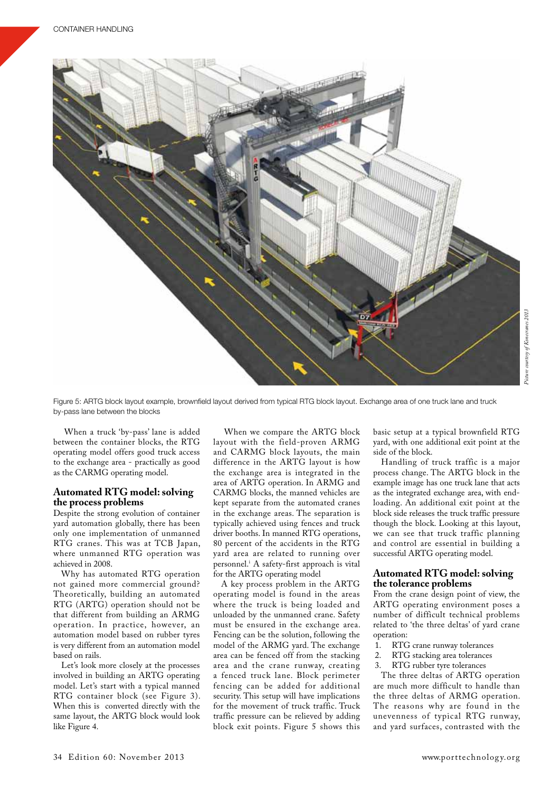

Figure 5: ARTG block layout example, brownfield layout derived from typical RTG block layout. Exchange area of one truck lane and truck by-pass lane between the blocks

 When a truck 'by-pass' lane is added between the container blocks, the RTG operating model offers good truck access to the exchange area - practically as good as the CARMG operating model.

#### **Automated RTG model: solving the process problems**

Despite the strong evolution of container yard automation globally, there has been only one implementation of unmanned RTG cranes. This was at TCB Japan, where unmanned RTG operation was achieved in 2008.

Why has automated RTG operation not gained more commercial ground? Theoretically, building an automated RTG (ARTG) operation should not be that different from building an ARMG operation. In practice, however, an automation model based on rubber tyres is very different from an automation model based on rails.

Let's look more closely at the processes involved in building an ARTG operating model. Let's start with a typical manned RTG container block (see Figure 3). When this is converted directly with the same layout, the ARTG block would look like Figure 4.

 When we compare the ARTG block layout with the field-proven ARMG and CARMG block layouts, the main difference in the ARTG layout is how the exchange area is integrated in the area of ARTG operation. In ARMG and CARMG blocks, the manned vehicles are kept separate from the automated cranes in the exchange areas. The separation is typically achieved using fences and truck driver booths. In manned RTG operations, 80 percent of the accidents in the RTG yard area are related to running over personnel.<sup>i</sup> A safety-first approach is vital for the ARTG operating model

A key process problem in the ARTG operating model is found in the areas where the truck is being loaded and unloaded by the unmanned crane. Safety must be ensured in the exchange area. Fencing can be the solution, following the model of the ARMG yard. The exchange area can be fenced off from the stacking area and the crane runway, creating a fenced truck lane. Block perimeter fencing can be added for additional security. This setup will have implications for the movement of truck traffic. Truck traffic pressure can be relieved by adding block exit points. Figure 5 shows this

basic setup at a typical brownfield RTG yard, with one additional exit point at the side of the block.

Handling of truck traffic is a major process change. The ARTG block in the example image has one truck lane that acts as the integrated exchange area, with endloading. An additional exit point at the block side releases the truck traffic pressure though the block. Looking at this layout, we can see that truck traffic planning and control are essential in building a successful ARTG operating model.

#### **Automated RTG model: solving the tolerance problems**

From the crane design point of view, the ARTG operating environment poses a number of difficult technical problems related to 'the three deltas' of yard crane operation:

- 1. RTG crane runway tolerances<br>2. RTG stacking area tolerances
- 2. RTG stacking area tolerances<br>3. RTG rubber tvre tolerances
- RTG rubber tyre tolerances

The three deltas of ARTG operation are much more difficult to handle than the three deltas of ARMG operation. The reasons why are found in the unevenness of typical RTG runway, and yard surfaces, contrasted with the